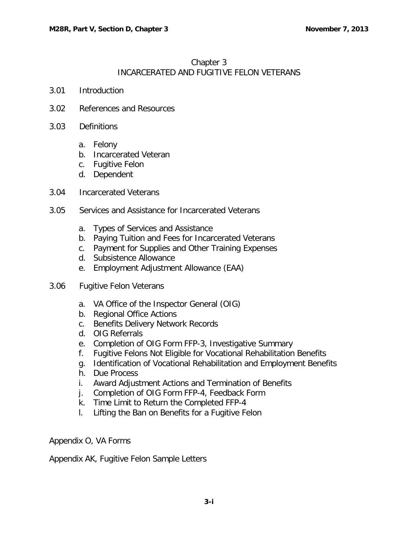# Chapter 3 INCARCERATED AND FUGITIVE FELON VETERANS

- 3.01 [Introduction](#page-1-0)
- 3.02 [References and Resources](#page-1-1)
- 3.03 [Definitions](#page-2-0)
	- a. [Felony](#page-2-1)
	- b. [Incarcerated Veteran](#page-2-2)
	- c. [Fugitive Felon](#page-2-3)
	- d. [Dependent](#page-2-4)
- 3.04 [Incarcerated Veterans](#page-2-5)
- 3.05 [Services and Assistance for Incarcerated Veterans](#page-3-0)
	- a. [Types of Services and Assistance](#page-3-1)
	- b. [Paying Tuition and Fees for Incarcerated Veterans](#page-3-2)
	- c. [Payment for Supplies and Other Training Expenses](#page-3-3)
	- d. [Subsistence Allowance](#page-4-0)
	- e. [Employment Adjustment Allowance \(EAA\)](#page-4-1)
- 3.06 [Fugitive Felon Veterans](#page-4-2)
	- a. [VA Office of the Inspector General \(OIG\)](#page-4-3)
	- b. [Regional Office Actions](#page-5-0)
	- c. [Benefits Delivery Network Records](#page-7-0)
	- d. [OIG Referrals](#page-8-0)
	- e. [Completion of OIG Form FFP-3, Investigative Summary](#page-8-1)
	- f. [Fugitive Felons Not Eligible for Vocational Rehabilitation Benefits](#page-10-0)
	- g. [Identification of Vocational Rehabilitation and Employment Benefits](#page-11-0)
	- h. [Due Process](#page-11-1)
	- i. [Award Adjustment Actions and Termination of Benefits](#page-13-0)
	- j. [Completion of OIG Form FFP-4, Feedback Form](#page-13-1)
	- k. [Time Limit to Return the Completed FFP-4](#page-14-0)
	- l. [Lifting the Ban on Benefits for a Fugitive Felon](#page-14-1)

Appendix O, VA Forms

Appendix AK, Fugitive Felon Sample Letters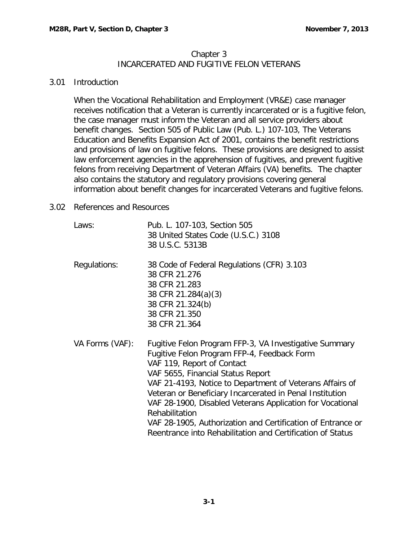### Chapter 3 INCARCERATED AND FUGITIVE FELON VETERANS

#### <span id="page-1-0"></span>3.01 Introduction

When the Vocational Rehabilitation and Employment (VR&E) case manager receives notification that a Veteran is currently incarcerated or is a fugitive felon, the case manager must inform the Veteran and all service providers about benefit changes. Section 505 of Public Law (Pub. L.) 107-103, The Veterans Education and Benefits Expansion Act of 2001, contains the benefit restrictions and provisions of law on fugitive felons. These provisions are designed to assist law enforcement agencies in the apprehension of fugitives, and prevent fugitive felons from receiving Department of Veteran Affairs (VA) benefits. The chapter also contains the statutory and regulatory provisions covering general information about benefit changes for incarcerated Veterans and fugitive felons.

## <span id="page-1-1"></span>3.02 References and Resources

| Laws:           | Pub. L. 107-103, Section 505<br>38 United States Code (U.S.C.) 3108<br>38 U.S.C. 5313B                                                                                                                                                                                                                                                                                                                                                                                                                       |
|-----------------|--------------------------------------------------------------------------------------------------------------------------------------------------------------------------------------------------------------------------------------------------------------------------------------------------------------------------------------------------------------------------------------------------------------------------------------------------------------------------------------------------------------|
| Regulations:    | 38 Code of Federal Regulations (CFR) 3.103<br>38 CFR 21.276<br>38 CFR 21.283<br>38 CFR 21.284(a)(3)<br>38 CFR 21.324(b)<br>38 CFR 21.350<br>38 CFR 21.364                                                                                                                                                                                                                                                                                                                                                    |
| VA Forms (VAF): | Fugitive Felon Program FFP-3, VA Investigative Summary<br>Fugitive Felon Program FFP-4, Feedback Form<br>VAF 119, Report of Contact<br>VAF 5655, Financial Status Report<br>VAF 21-4193, Notice to Department of Veterans Affairs of<br>Veteran or Beneficiary Incarcerated in Penal Institution<br>VAF 28-1900, Disabled Veterans Application for Vocational<br>Rehabilitation<br>VAF 28-1905, Authorization and Certification of Entrance or<br>Reentrance into Rehabilitation and Certification of Status |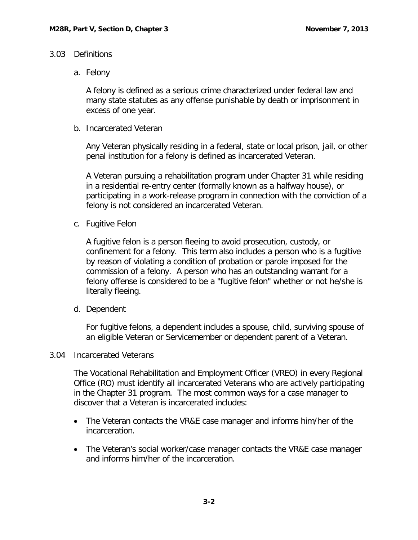### <span id="page-2-1"></span><span id="page-2-0"></span>3.03 Definitions

a. Felony

A felony is defined as a serious crime characterized under federal law and many state statutes as any offense punishable by death or imprisonment in excess of one year.

<span id="page-2-2"></span>b. Incarcerated Veteran

Any Veteran physically residing in a federal, state or local prison, jail, or other penal institution for a felony is defined as incarcerated Veteran.

A Veteran pursuing a rehabilitation program under Chapter 31 while residing in a residential re-entry center (formally known as a halfway house), or participating in a work-release program in connection with the conviction of a felony is not considered an incarcerated Veteran.

<span id="page-2-3"></span>c. Fugitive Felon

A fugitive felon is a person fleeing to avoid prosecution, custody, or confinement for a felony. This term also includes a person who is a fugitive by reason of violating a condition of probation or parole imposed for the commission of a felony. A person who has an outstanding warrant for a felony offense is considered to be a "fugitive felon" whether or not he/she is literally fleeing.

<span id="page-2-4"></span>d. Dependent

For fugitive felons, a dependent includes a spouse, child, surviving spouse of an eligible Veteran or Servicemember or dependent parent of a Veteran.

#### <span id="page-2-5"></span>3.04 Incarcerated Veterans

The Vocational Rehabilitation and Employment Officer (VREO) in every Regional Office (RO) must identify all incarcerated Veterans who are actively participating in the Chapter 31 program. The most common ways for a case manager to discover that a Veteran is incarcerated includes:

- The Veteran contacts the VR&E case manager and informs him/her of the incarceration.
- The Veteran's social worker/case manager contacts the VR&E case manager and informs him/her of the incarceration.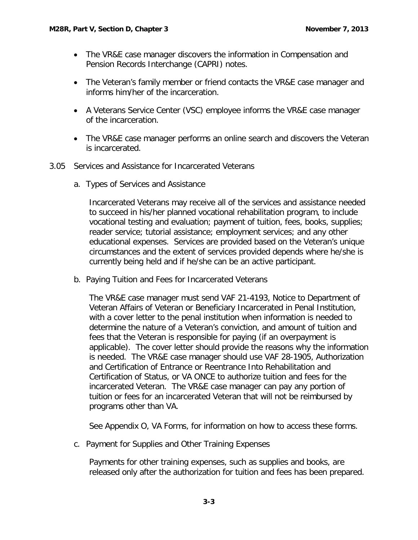- The VR&E case manager discovers the information in Compensation and Pension Records Interchange (CAPRI) notes.
- The Veteran's family member or friend contacts the VR&E case manager and informs him/her of the incarceration.
- A Veterans Service Center (VSC) employee informs the VR&E case manager of the incarceration.
- The VR&E case manager performs an online search and discovers the Veteran is incarcerated.
- <span id="page-3-1"></span><span id="page-3-0"></span>3.05 Services and Assistance for Incarcerated Veterans
	- a. Types of Services and Assistance

Incarcerated Veterans may receive all of the services and assistance needed to succeed in his/her planned vocational rehabilitation program, to include vocational testing and evaluation; payment of tuition, fees, books, supplies; reader service; tutorial assistance; employment services; and any other educational expenses. Services are provided based on the Veteran's unique circumstances and the extent of services provided depends where he/she is currently being held and if he/she can be an active participant.

<span id="page-3-2"></span>b. Paying Tuition and Fees for Incarcerated Veterans

The VR&E case manager must send VAF 21-4193, Notice to Department of Veteran Affairs of Veteran or Beneficiary Incarcerated in Penal Institution, with a cover letter to the penal institution when information is needed to determine the nature of a Veteran's conviction, and amount of tuition and fees that the Veteran is responsible for paying (if an overpayment is applicable). The cover letter should provide the reasons why the information is needed. The VR&E case manager should use VAF 28-1905, Authorization and Certification of Entrance or Reentrance Into Rehabilitation and Certification of Status, or VA ONCE to authorize tuition and fees for the incarcerated Veteran. The VR&E case manager can pay any portion of tuition or fees for an incarcerated Veteran that will not be reimbursed by programs other than VA.

See Appendix O, VA Forms, for information on how to access these forms.

<span id="page-3-3"></span>c. Payment for Supplies and Other Training Expenses

Payments for other training expenses, such as supplies and books, are released only after the authorization for tuition and fees has been prepared.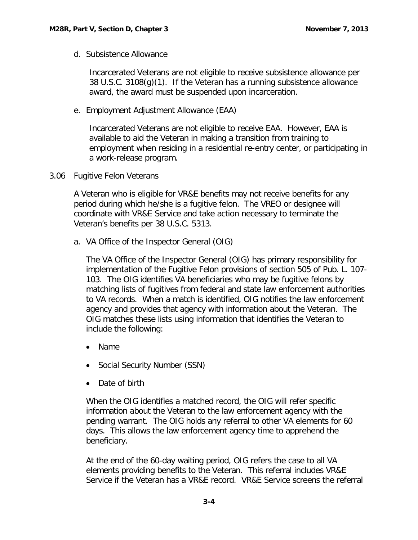<span id="page-4-0"></span>d. Subsistence Allowance

Incarcerated Veterans are not eligible to receive subsistence allowance per 38 U.S.C. 3108(g)(1). If the Veteran has a running subsistence allowance award, the award must be suspended upon incarceration.

<span id="page-4-1"></span>e. Employment Adjustment Allowance (EAA)

Incarcerated Veterans are not eligible to receive EAA. However, EAA is available to aid the Veteran in making a transition from training to employment when residing in a residential re-entry center, or participating in a work-release program.

<span id="page-4-2"></span>3.06 Fugitive Felon Veterans

A Veteran who is eligible for VR&E benefits may not receive benefits for any period during which he/she is a fugitive felon. The VREO or designee will coordinate with VR&E Service and take action necessary to terminate the Veteran's benefits per 38 U.S.C. 5313.

<span id="page-4-3"></span>a. VA Office of the Inspector General (OIG)

The VA Office of the Inspector General (OIG) has primary responsibility for implementation of the Fugitive Felon provisions of section 505 of Pub. L. 107- 103. The OIG identifies VA beneficiaries who may be fugitive felons by matching lists of fugitives from federal and state law enforcement authorities to VA records. When a match is identified, OIG notifies the law enforcement agency and provides that agency with information about the Veteran. The OIG matches these lists using information that identifies the Veteran to include the following:

- Name
- Social Security Number (SSN)
- Date of birth

When the OIG identifies a matched record, the OIG will refer specific information about the Veteran to the law enforcement agency with the pending warrant. The OIG holds any referral to other VA elements for 60 days. This allows the law enforcement agency time to apprehend the beneficiary.

At the end of the 60-day waiting period, OIG refers the case to all VA elements providing benefits to the Veteran. This referral includes VR&E Service if the Veteran has a VR&E record. VR&E Service screens the referral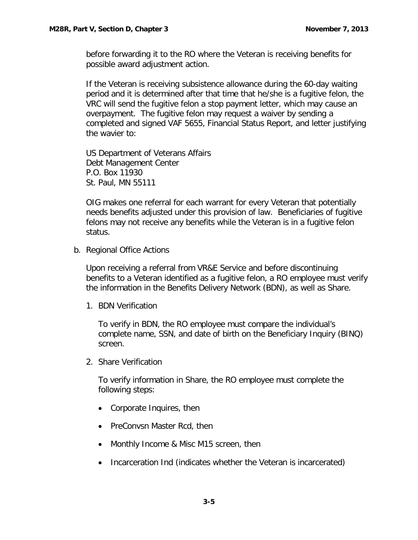before forwarding it to the RO where the Veteran is receiving benefits for possible award adjustment action.

If the Veteran is receiving subsistence allowance during the 60-day waiting period and it is determined after that time that he/she is a fugitive felon, the VRC will send the fugitive felon a stop payment letter, which may cause an overpayment. The fugitive felon may request a waiver by sending a completed and signed VAF 5655, Financial Status Report, and letter justifying the wavier to:

US Department of Veterans Affairs Debt Management Center P.O. Box 11930 St. Paul, MN 55111

OIG makes one referral for each warrant for every Veteran that potentially needs benefits adjusted under this provision of law. Beneficiaries of fugitive felons may not receive any benefits while the Veteran is in a fugitive felon status.

<span id="page-5-0"></span>b. Regional Office Actions

Upon receiving a referral from VR&E Service and before discontinuing benefits to a Veteran identified as a fugitive felon, a RO employee must verify the information in the Benefits Delivery Network (BDN), as well as Share.

1. BDN Verification

To verify in BDN, the RO employee must compare the individual's complete name, SSN, and date of birth on the Beneficiary Inquiry (BINQ) screen.

2. Share Verification

To verify information in Share, the RO employee must complete the following steps:

- Corporate Inquires, then
- PreConvsn Master Rcd, then
- Monthly Income & Misc M15 screen, then
- Incarceration Ind (indicates whether the Veteran is incarcerated)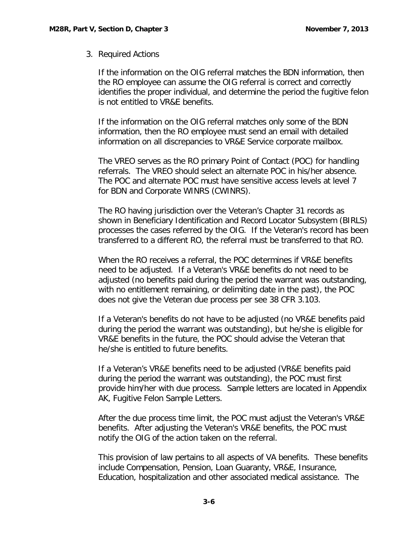## 3. Required Actions

If the information on the OIG referral matches the BDN information, then the RO employee can assume the OIG referral is correct and correctly identifies the proper individual, and determine the period the fugitive felon is not entitled to VR&E benefits.

If the information on the OIG referral matches only some of the BDN information, then the RO employee must send an email with detailed information on all discrepancies to VR&E Service corporate mailbox.

The VREO serves as the RO primary Point of Contact (POC) for handling referrals. The VREO should select an alternate POC in his/her absence. The POC and alternate POC must have sensitive access levels at level 7 for BDN and Corporate WINRS (CWINRS).

The RO having jurisdiction over the Veteran's Chapter 31 records as shown in Beneficiary Identification and Record Locator Subsystem (BIRLS) processes the cases referred by the OIG. If the Veteran's record has been transferred to a different RO, the referral must be transferred to that RO.

When the RO receives a referral, the POC determines if VR&E benefits need to be adjusted. If a Veteran's VR&E benefits do not need to be adjusted (no benefits paid during the period the warrant was outstanding, with no entitlement remaining, or delimiting date in the past), the POC does not give the Veteran due process per see 38 CFR 3.103.

If a Veteran's benefits do not have to be adjusted (no VR&E benefits paid during the period the warrant was outstanding), but he/she is eligible for VR&E benefits in the future, the POC should advise the Veteran that he/she is entitled to future benefits.

If a Veteran's VR&E benefits need to be adjusted (VR&E benefits paid during the period the warrant was outstanding), the POC must first provide him/her with due process. Sample letters are located in Appendix AK, Fugitive Felon Sample Letters.

After the due process time limit, the POC must adjust the Veteran's VR&E benefits. After adjusting the Veteran's VR&E benefits, the POC must notify the OIG of the action taken on the referral.

This provision of law pertains to all aspects of VA benefits. These benefits include Compensation, Pension, Loan Guaranty, VR&E, Insurance, Education, hospitalization and other associated medical assistance. The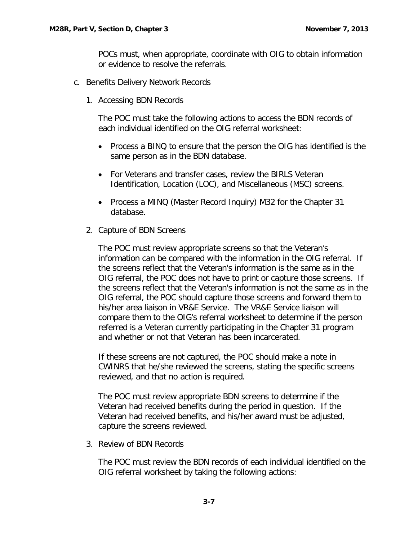POCs must, when appropriate, coordinate with OIG to obtain information or evidence to resolve the referrals.

- <span id="page-7-0"></span>c. Benefits Delivery Network Records
	- 1. Accessing BDN Records

The POC must take the following actions to access the BDN records of each individual identified on the OIG referral worksheet:

- Process a BINQ to ensure that the person the OIG has identified is the same person as in the BDN database.
- For Veterans and transfer cases, review the BIRLS Veteran Identification, Location (LOC), and Miscellaneous (MSC) screens.
- Process a MINQ (Master Record Inquiry) M32 for the Chapter 31 database.
- 2. Capture of BDN Screens

The POC must review appropriate screens so that the Veteran's information can be compared with the information in the OIG referral. If the screens reflect that the Veteran's information is the same as in the OIG referral, the POC does not have to print or capture those screens. If the screens reflect that the Veteran's information is not the same as in the OIG referral, the POC should capture those screens and forward them to his/her area liaison in VR&E Service. The VR&E Service liaison will compare them to the OIG's referral worksheet to determine if the person referred is a Veteran currently participating in the Chapter 31 program and whether or not that Veteran has been incarcerated.

If these screens are not captured, the POC should make a note in CWINRS that he/she reviewed the screens, stating the specific screens reviewed, and that no action is required.

The POC must review appropriate BDN screens to determine if the Veteran had received benefits during the period in question. If the Veteran had received benefits, and his/her award must be adjusted, capture the screens reviewed.

3. Review of BDN Records

The POC must review the BDN records of each individual identified on the OIG referral worksheet by taking the following actions: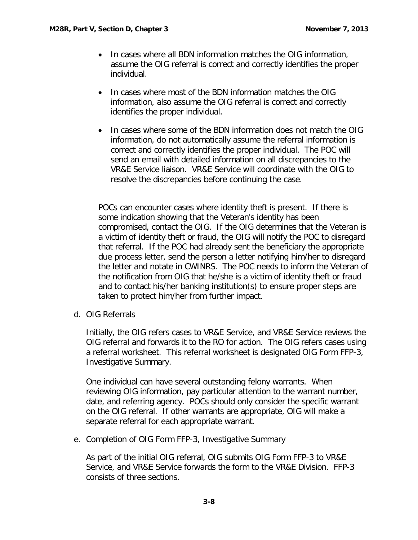- In cases where all BDN information matches the OIG information, assume the OIG referral is correct and correctly identifies the proper individual.
- In cases where most of the BDN information matches the OIG information, also assume the OIG referral is correct and correctly identifies the proper individual.
- In cases where some of the BDN information does not match the OIG information, do not automatically assume the referral information is correct and correctly identifies the proper individual. The POC will send an email with detailed information on all discrepancies to the VR&E Service liaison. VR&E Service will coordinate with the OIG to resolve the discrepancies before continuing the case.

POCs can encounter cases where identity theft is present. If there is some indication showing that the Veteran's identity has been compromised, contact the OIG. If the OIG determines that the Veteran is a victim of identity theft or fraud, the OIG will notify the POC to disregard that referral. If the POC had already sent the beneficiary the appropriate due process letter, send the person a letter notifying him/her to disregard the letter and notate in CWINRS. The POC needs to inform the Veteran of the notification from OIG that he/she is a victim of identity theft or fraud and to contact his/her banking institution(s) to ensure proper steps are taken to protect him/her from further impact.

<span id="page-8-0"></span>d. OIG Referrals

Initially, the OIG refers cases to VR&E Service, and VR&E Service reviews the OIG referral and forwards it to the RO for action. The OIG refers cases using a referral worksheet. This referral worksheet is designated OIG Form FFP-3, Investigative Summary.

One individual can have several outstanding felony warrants. When reviewing OIG information, pay particular attention to the warrant number, date, and referring agency. POCs should only consider the specific warrant on the OIG referral. If other warrants are appropriate, OIG will make a separate referral for each appropriate warrant.

<span id="page-8-1"></span>e. Completion of OIG Form FFP-3, Investigative Summary

As part of the initial OIG referral, OIG submits OIG Form FFP-3 to VR&E Service, and VR&E Service forwards the form to the VR&E Division. FFP-3 consists of three sections.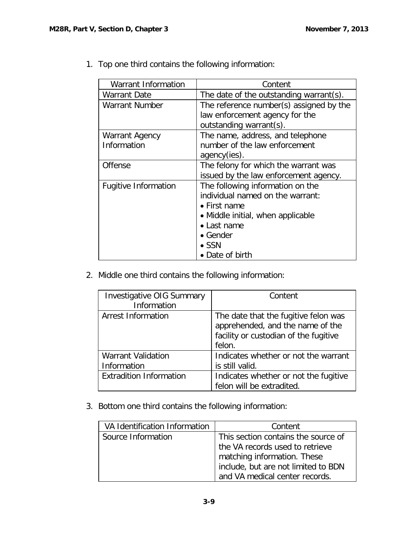$\overline{\phantom{a}}$ 

| <b>Warrant Information</b>  | Content                                 |
|-----------------------------|-----------------------------------------|
| <b>Warrant Date</b>         | The date of the outstanding warrant(s). |
| <b>Warrant Number</b>       | The reference number(s) assigned by the |
|                             | law enforcement agency for the          |
|                             | outstanding warrant(s).                 |
| Warrant Agency              | The name, address, and telephone        |
| Information                 | number of the law enforcement           |
|                             | agency(ies).                            |
| Offense                     | The felony for which the warrant was    |
|                             | issued by the law enforcement agency.   |
| <b>Fugitive Information</b> | The following information on the        |
|                             | individual named on the warrant:        |
|                             | • First name                            |
|                             | • Middle initial, when applicable       |
|                             | • Last name                             |
|                             | • Gender                                |
|                             | $\bullet$ SSN                           |
|                             | • Date of birth                         |

1. Top one third contains the following information:

2. Middle one third contains the following information:

| <b>Investigative OIG Summary</b><br>Information | Content                                                                                                                     |
|-------------------------------------------------|-----------------------------------------------------------------------------------------------------------------------------|
| <b>Arrest Information</b>                       | The date that the fugitive felon was<br>apprehended, and the name of the<br>facility or custodian of the fugitive<br>felon. |
| <b>Warrant Validation</b><br>Information        | Indicates whether or not the warrant<br>is still valid.                                                                     |
| <b>Extradition Information</b>                  | Indicates whether or not the fugitive<br>felon will be extradited.                                                          |

3. Bottom one third contains the following information:

| VA Identification Information | Content                             |
|-------------------------------|-------------------------------------|
| Source Information            | This section contains the source of |
|                               | the VA records used to retrieve     |
|                               | matching information. These         |
|                               | include, but are not limited to BDN |
|                               | and VA medical center records.      |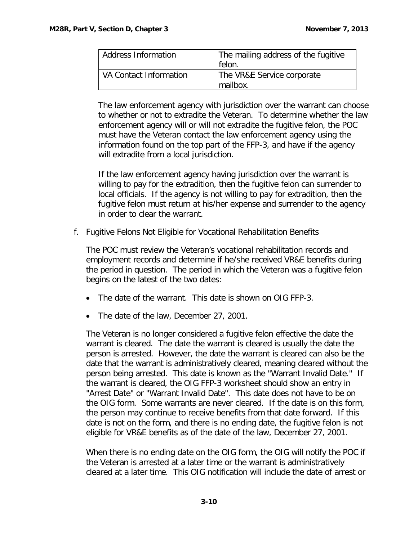| <b>Address Information</b> | The mailing address of the fugitive<br>felon. |
|----------------------------|-----------------------------------------------|
| VA Contact Information     | The VR&E Service corporate<br>mailbox.        |

The law enforcement agency with jurisdiction over the warrant can choose to whether or not to extradite the Veteran. To determine whether the law enforcement agency will or will not extradite the fugitive felon, the POC must have the Veteran contact the law enforcement agency using the information found on the top part of the FFP-3, and have if the agency will extradite from a local jurisdiction.

If the law enforcement agency having jurisdiction over the warrant is willing to pay for the extradition, then the fugitive felon can surrender to local officials. If the agency is not willing to pay for extradition, then the fugitive felon must return at his/her expense and surrender to the agency in order to clear the warrant.

<span id="page-10-0"></span>f. Fugitive Felons Not Eligible for Vocational Rehabilitation Benefits

The POC must review the Veteran's vocational rehabilitation records and employment records and determine if he/she received VR&E benefits during the period in question. The period in which the Veteran was a fugitive felon begins on the latest of the two dates:

- The date of the warrant. This date is shown on OIG FFP-3.
- The date of the law, December 27, 2001.

The Veteran is no longer considered a fugitive felon effective the date the warrant is cleared. The date the warrant is cleared is usually the date the person is arrested. However, the date the warrant is cleared can also be the date that the warrant is administratively cleared, meaning cleared without the person being arrested. This date is known as the "Warrant Invalid Date." If the warrant is cleared, the OIG FFP-3 worksheet should show an entry in "Arrest Date" or "Warrant Invalid Date". This date does not have to be on the OIG form. Some warrants are never cleared. If the date is on this form, the person may continue to receive benefits from that date forward. If this date is not on the form, and there is no ending date, the fugitive felon is not eligible for VR&E benefits as of the date of the law, December 27, 2001.

When there is no ending date on the OIG form, the OIG will notify the POC if the Veteran is arrested at a later time or the warrant is administratively cleared at a later time. This OIG notification will include the date of arrest or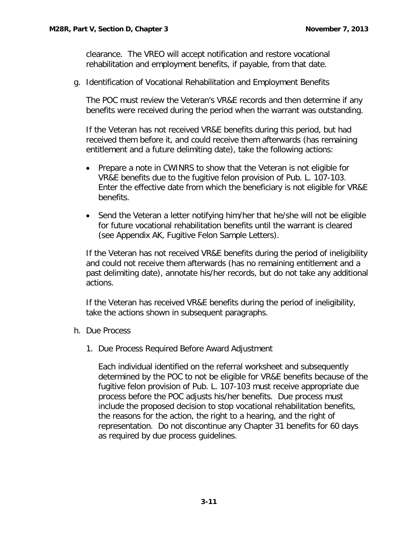clearance. The VREO will accept notification and restore vocational rehabilitation and employment benefits, if payable, from that date.

<span id="page-11-0"></span>g. Identification of Vocational Rehabilitation and Employment Benefits

The POC must review the Veteran's VR&E records and then determine if any benefits were received during the period when the warrant was outstanding.

If the Veteran has not received VR&E benefits during this period, but had received them before it, and could receive them afterwards (has remaining entitlement and a future delimiting date), take the following actions:

- Prepare a note in CWINRS to show that the Veteran is not eligible for VR&E benefits due to the fugitive felon provision of Pub. L. 107-103. Enter the effective date from which the beneficiary is not eligible for VR&E benefits.
- Send the Veteran a letter notifying him/her that he/she will not be eligible for future vocational rehabilitation benefits until the warrant is cleared (see Appendix AK, Fugitive Felon Sample Letters).

If the Veteran has not received VR&E benefits during the period of ineligibility and could not receive them afterwards (has no remaining entitlement and a past delimiting date), annotate his/her records, but do not take any additional actions.

If the Veteran has received VR&E benefits during the period of ineligibility, take the actions shown in subsequent paragraphs.

- <span id="page-11-1"></span>h. Due Process
	- 1. Due Process Required Before Award Adjustment

Each individual identified on the referral worksheet and subsequently determined by the POC to not be eligible for VR&E benefits because of the fugitive felon provision of Pub. L. 107-103 must receive appropriate due process before the POC adjusts his/her benefits. Due process must include the proposed decision to stop vocational rehabilitation benefits, the reasons for the action, the right to a hearing, and the right of representation. Do not discontinue any Chapter 31 benefits for 60 days as required by due process guidelines.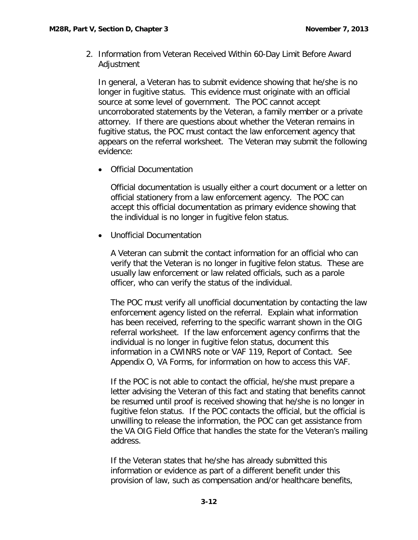2. Information from Veteran Received Within 60-Day Limit Before Award Adjustment

In general, a Veteran has to submit evidence showing that he/she is no longer in fugitive status. This evidence must originate with an official source at some level of government. The POC cannot accept uncorroborated statements by the Veteran, a family member or a private attorney. If there are questions about whether the Veteran remains in fugitive status, the POC must contact the law enforcement agency that appears on the referral worksheet. The Veteran may submit the following evidence:

• Official Documentation

Official documentation is usually either a court document or a letter on official stationery from a law enforcement agency. The POC can accept this official documentation as primary evidence showing that the individual is no longer in fugitive felon status.

• Unofficial Documentation

A Veteran can submit the contact information for an official who can verify that the Veteran is no longer in fugitive felon status. These are usually law enforcement or law related officials, such as a parole officer, who can verify the status of the individual.

The POC must verify all unofficial documentation by contacting the law enforcement agency listed on the referral. Explain what information has been received, referring to the specific warrant shown in the OIG referral worksheet. If the law enforcement agency confirms that the individual is no longer in fugitive felon status, document this information in a CWINRS note or VAF 119, Report of Contact. See Appendix O, VA Forms, for information on how to access this VAF.

If the POC is not able to contact the official, he/she must prepare a letter advising the Veteran of this fact and stating that benefits cannot be resumed until proof is received showing that he/she is no longer in fugitive felon status. If the POC contacts the official, but the official is unwilling to release the information, the POC can get assistance from the VA OIG Field Office that handles the state for the Veteran's mailing address.

If the Veteran states that he/she has already submitted this information or evidence as part of a different benefit under this provision of law, such as compensation and/or healthcare benefits,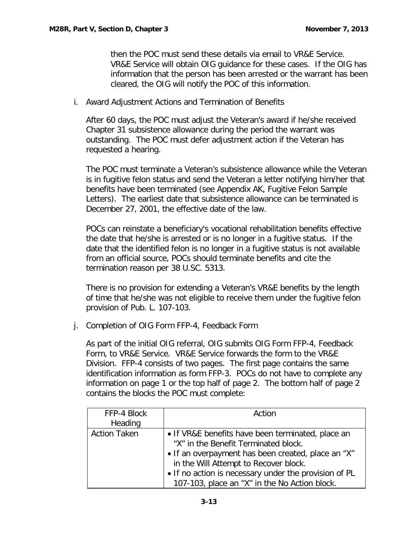then the POC must send these details via email to VR&E Service. VR&E Service will obtain OIG guidance for these cases. If the OIG has information that the person has been arrested or the warrant has been cleared, the OIG will notify the POC of this information.

<span id="page-13-0"></span>i. Award Adjustment Actions and Termination of Benefits

After 60 days, the POC must adjust the Veteran's award if he/she received Chapter 31 subsistence allowance during the period the warrant was outstanding. The POC must defer adjustment action if the Veteran has requested a hearing.

The POC must terminate a Veteran's subsistence allowance while the Veteran is in fugitive felon status and send the Veteran a letter notifying him/her that benefits have been terminated (see Appendix AK, Fugitive Felon Sample Letters). The earliest date that subsistence allowance can be terminated is December 27, 2001, the effective date of the law.

POCs can reinstate a beneficiary's vocational rehabilitation benefits effective the date that he/she is arrested or is no longer in a fugitive status. If the date that the identified felon is no longer in a fugitive status is not available from an official source, POCs should terminate benefits and cite the termination reason per 38 U.SC. 5313.

There is no provision for extending a Veteran's VR&E benefits by the length of time that he/she was not eligible to receive them under the fugitive felon provision of Pub. L. 107-103.

<span id="page-13-1"></span>j. Completion of OIG Form FFP-4, Feedback Form

As part of the initial OIG referral, OIG submits OIG Form FFP-4, Feedback Form, to VR&E Service. VR&E Service forwards the form to the VR&E Division. FFP-4 consists of two pages. The first page contains the same identification information as form FFP-3. POCs do not have to complete any information on page 1 or the top half of page 2. The bottom half of page 2 contains the blocks the POC must complete:

| FFP-4 Block         | Action                                                                                                                                          |
|---------------------|-------------------------------------------------------------------------------------------------------------------------------------------------|
| Heading             |                                                                                                                                                 |
| <b>Action Taken</b> | • If VR&E benefits have been terminated, place an<br>"X" in the Benefit Terminated block.<br>• If an overpayment has been created, place an "X" |
|                     | in the Will Attempt to Recover block.<br>• If no action is necessary under the provision of PL<br>107-103, place an "X" in the No Action block. |